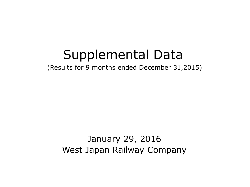## Supplemental Data

(Results for 9 months ended December 31,2015)

## January 29, 2016 West Japan Railway Company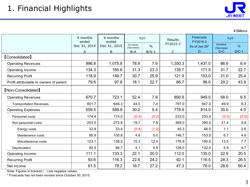

¥Billions

|                                         | 9 months<br>ended | 9 months<br>ended |                         | YoY           | Results        | <b>Forecasts</b><br>FY2016.3 | YoY                     |         |
|-----------------------------------------|-------------------|-------------------|-------------------------|---------------|----------------|------------------------------|-------------------------|---------|
|                                         | Dec 31, 2014      | Dec 31, 2015      | Increase/<br>(Decrease) | $\frac{0}{0}$ | FY2015.3       | As of Jan 29*                | Increase/<br>(Decrease) | %       |
|                                         | Α                 | B                 | $B-A$                   | $B/A-1$       | $\overline{C}$ | D.                           | $D-C$                   | $D/C-1$ |
| <b>[Consolidated]</b>                   |                   |                   |                         |               |                |                              |                         |         |
| <b>Operating Revenues</b>               | 996.8             | 1,075.8           | 78.9                    | 7.9           | 1,350.3        | 1,437.0                      | 86.6                    | 6.4     |
| Operating Income                        | 134.3             | 165.6             | 31.3                    | 23.3          | 139.7          | 171.5                        | 31.7                    | 22.7    |
| <b>Recurring Profit</b>                 | 118.9             | 149.7             | 30.7                    | 25.9          | 121.9          | 153.0                        | 31.0                    | 25.4    |
| Profit attributable to owners of parent | 79.6              | 97.8              | 18.1                    | 22.7          | 66.7           | 96.0                         | 29.2                    | 43.9    |
| [Non-Consolidated]                      |                   |                   |                         |               |                |                              |                         |         |
| <b>Operating Revenues</b>               | 670.7             | 723.1             | 52.4                    | 7.8           | 890.9          | 949.0                        | 58.0                    | 6.5     |
| <b>Transportation Revenues</b>          | 601.7             | 646.3             | 44.5                    | 7.4           | 797.0          | 847.0                        | 49.9                    | 6.3     |
| <b>Operating Expenses</b>               | 559.5             | 589.8             | 30.2                    | 5.4           | 778.9          | 814.0                        | 35.0                    | 4.5     |
| Personnel costs                         | 174.4             | 174.0             | (0.4)                   | (0.2)         | 233.0          | 233.0                        | (0.0)                   | (0.0)   |
| Non personnel costs                     | 253.0             | 272.8             | 19.7                    | 7.8           | 369.0          | 390.5                        | 21.4                    | 5.8     |
| Energy costs                            | 33.8              | 33.4              | (0.4)                   | (1.2)         | 45.3           | 46.5                         | 1.1                     | 2.6     |
| Maintenance costs                       | 95.9              | 100.8             | 4.8                     | $5.0\,$       | 146.7          | 153.5                        | 6.7                     | 4.6     |
| Miscellaneous costs                     | 123.1             | 138.5             | 15.3                    | 12.4          | 176.9          | 190.5                        | 13.5                    | 7.7     |
| Depreciation                            | 92.5              | 96.7              | 4.1                     | 4.5           | 126.0          | 132.0                        | 5.9                     | 4.7     |
| Operating Income                        | 111.1             | 133.3             | 22.1                    | 20.0          | 112.0          | 135.0                        | 22.9                    | 20.5    |
| <b>Recurring Profit</b>                 | 93.6              | 116.3             | 22.6                    | 24.2          | 92.1           | 116.5                        | 24.3                    | 26.5    |
| Net Income                              | 61.5              | 78.2              | 16.7                    | 27.2          | 47.3           | 76.0                         | 28.6                    | 60.4    |

Note: Figures in bracket ( ) are negative values.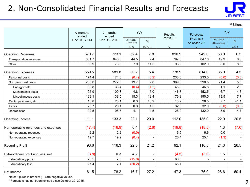## 2. Non-Consolidated Financial Results and Forecasts



¥Billions

|                                     | 9 months<br>ended | 9 months<br>ended | YoY                     |               | Results      | Forecasts                 |                          | YoY     |  |
|-------------------------------------|-------------------|-------------------|-------------------------|---------------|--------------|---------------------------|--------------------------|---------|--|
|                                     | Dec 31, 2014      | Dec 31, 2015      | Increase/<br>(Decrease) | $\frac{0}{0}$ | FY2015.3     | FY2016.3<br>As of Jan 29* | Increase/<br>(Decrease)  | %       |  |
|                                     | A                 | B                 | $B-A$                   | $B/A-1$       | $\mathsf{C}$ | D                         | $D-C$                    | $D/C-1$ |  |
| <b>Operating Revenues</b>           | 670.7             | 723.1             | 52.4                    | 7.8           | 890.9        | 949.0                     | 58.0                     | 6.5     |  |
| Transportation revenues             | 601.7             | 646.3             | 44.5                    | 7.4           | 797.0        | 847.0                     | 49.9                     | 6.3     |  |
| Other                               | 68.9              | 76.8              | 7.9                     | 11.5          | 93.9         | 102.0                     | 8.0                      | 8.6     |  |
| <b>Operating Expenses</b>           | 559.5             | 589.8             | 30.2                    | 5.4           | 778.9        | 814.0                     | 35.0                     | 4.5     |  |
| Personnel costs                     | 174.4             | 174.0             | (0.4)                   | (0.2)         | 233.0        | 233.0                     | (0.0)                    | (0.0)   |  |
| Non personnel costs                 | 253.0             | 272.8             | 19.7                    | 7.8           | 369.0        | 390.5                     | 21.4                     | 5.8     |  |
| Energy costs                        | 33.8              | 33.4              | (0.4)                   | (1.2)         | 45.3         | 46.5                      | 1.1                      | 2.6     |  |
| Maintenance costs                   | 95.9              | 100.8             | 4.8                     | 5.0           | 146.7        | 153.5                     | 6.7                      | 4.6     |  |
| Miscellaneous costs                 | 123.1             | 138.5             | 15.3                    | 12.4          | 176.9        | 190.5                     | 13.5                     | 7.7     |  |
| Rental payments, etc.               | 13.8              | 20.1              | 6.3                     | 46.2          | 18.7         | 26.5                      | 7.7                      | 41.1    |  |
| Taxes                               | 25.7              | 26.1              | 0.3                     | 1.5           | 32.0         | 32.0                      | (0.0)                    | (0.0)   |  |
| Depreciation                        | 92.5              | 96.7              | 4.1                     | 4.5           | 126.0        | 132.0                     | 5.9                      | 4.7     |  |
| Operating Income                    | 111.1             | 133.3             | 22.1                    | 20.0          | 112.0        | 135.0                     | 22.9                     | 20.5    |  |
| Non-operating revenues and expenses | (17.4)            | (16.9)            | 0.4                     | (2.6)         | (19.8)       | (18.5)                    | 1.3                      | (7.0)   |  |
| Non-operating revenues              | 2.2               | 2.2               | (0.0)                   |               | 6.5          | 6.6                       | 0.0                      |         |  |
| Non-operating expenses              | 19.7              | 19.2              | (0.4)                   |               | 26.4         | 25.1                      | (1.3)                    |         |  |
| <b>Recurring Profit</b>             | 93.6              | 116.3             | 22.6                    | 24.2          | 92.1         | 116.5                     | 24.3                     | 26.5    |  |
| Extraordinary profit and loss, net  | (3.8)             | 0.3               | 4.2                     |               | (4.5)        | (3.0)                     | 1.5                      |         |  |
| Extraordinary profit                | 23.5              | 7.5               | (15.9)                  |               | 60.6         |                           | $\overline{\phantom{a}}$ |         |  |
| Extraordinary loss                  | 27.4              | 7.1               | (20.2)                  |               | 65.1         |                           |                          |         |  |
| Net Income                          | 61.5              | 78.2              | 16.7                    | 27.2          | 47.3         | 76.0                      | 28.6                     | 60.4    |  |

Note: Figures in bracket () are negative values.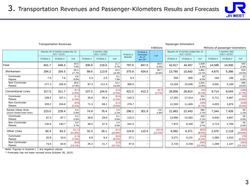

|                                              | <b>Transportation Revenues</b>                                                                  |          |                    |                                   |          |                     |         |                                                         | ¥ Billions        |          | Passenger-Kilometers                 |                  |          | Millions of passenger-kilometers |                     |
|----------------------------------------------|-------------------------------------------------------------------------------------------------|----------|--------------------|-----------------------------------|----------|---------------------|---------|---------------------------------------------------------|-------------------|----------|--------------------------------------|------------------|----------|----------------------------------|---------------------|
|                                              | 3 months (3Q)<br>Results for 9 months ended Dec 31<br>$(4/1 \sim 12/31)$<br>$(10/1 \sim 12/31)$ |          |                    | FY2016.3<br>FY2015.3<br>Forecasts |          | YoY                 |         | Results for 9 months ended Dec 31<br>$(4/1 \sim 12/31)$ |                   |          | 3 months (3Q)<br>$(10/1 \sim 12/31)$ |                  |          |                                  |                     |
|                                              | FY2015.3                                                                                        | FY2016.3 | YoY                | FY2015.3                          | FY2016.3 | YoY                 | Results | As of<br>Jan 29*                                        |                   | FY2015.3 | FY2016.3                             | YoY              | FY2015.3 | FY2016.3                         | YoY                 |
| Total                                        | 601.7                                                                                           | 646.3    | 44.5<br>7.4%       | 206.8                             | 218.6    | 11.7<br>5.7%        | 797.0   | 847.0                                                   | 49.9<br>6.3%      | 42,617   | 44,457                               | 1,839<br>4.3%    | 14,589   | 14,930                           | 340<br>2.3%         |
| Shinkansen                                   | 284.2                                                                                           | 334.5    | 50.2<br>17.7%      | 99.6                              | 113.9    | 14.2<br>14.3%       | 375.9   | 434.6                                                   | 58.7<br>15.6%     | 13.760   | 15,642                               | 1,881<br>13.7%   | 4,875    | 5.386                            | 510<br>10.5%        |
| Commuter<br>Passes                           | 7.0                                                                                             | 7.6      | 0.6<br>8.8%        | 2.3                               | 2.5      | 0.1<br>7.9%         | 9.3     | $\overline{\phantom{0}}$                                |                   | 556      | 605                                  | 49<br>9.0%       | 184      | 196                              | 12<br>6.6%          |
| Non-Commuter<br>Passes                       | 277.2                                                                                           | 326.9    | 49.6<br>17.9%      | 97.3                              | 111.4    | 14.1<br>14.5%       | 366.5   | $\overline{\phantom{0}}$                                |                   | 13,204   | 15,036                               | 1,831<br>13.9%   | 4,691    | 5,189                            | 498<br>10.6%        |
| <b>Conventional Lines</b>                    | 317.5                                                                                           | 311.7    | (5.7)<br>(1.8%     | 107.2                             | 104.6    | (2.5)<br>(2.4%      | 421.0   | 412.3                                                   | (8.7)<br>(2.1%    | 28,856   | 28,814                               | (41)<br>(0.1%    | 9.714    | 9.544                            | (169)<br>(1.7%      |
| Commuter<br>Passes                           | 108.2                                                                                           | 107.1    | (1.1)<br>$(1.0\%)$ | 35.8                              | 35.4     | (0.4)<br>(1.2%      | 142.3   | $\overline{\phantom{m}}$                                |                   | 17,262   | 17,414                               | 151<br>0.9%      | 5.711    | 5.667                            | (43)<br>(0.8%       |
| Non-Commuter<br>Passes                       | 209.2                                                                                           | 204.6    | (4.6)<br>(2.2%)    | 71.3                              | 69.1     | (2.1)<br>(3.0%      | 278.7   | $\overline{\phantom{0}}$                                |                   | 11,593   | 11,400                               | (193)<br>(1.7%   | 4.003    | 3.876                            | (126)<br>(3.2%)     |
| Kansai Urban Area<br>(Kyoto-Osaka-Kobe Area) | 223.0                                                                                           | 228.4    | 5.4<br>2.4%        | 74.9                              | 76.4     | 1.5<br>2.1%         | 296.2   | 301.9                                                   | 5.6<br>1.9%       | 21,863   | 22,443                               | 580<br>2.7%      | 7,344    | 7,426                            | 82<br>1.1%          |
| Commuter<br>Passes                           | 87.3                                                                                            | 87.7     | 0.3<br>0.5%        | 28.8                              | 29.0     | 0.1<br>0.6%         | 115.2   | $\overline{\phantom{m}}$                                |                   | 13,990   | 14,282                               | 292<br>2.1%      | 4,630    | 4,657                            | 26<br>0.6%          |
| Non-Commuter<br>Passes                       | 135.6                                                                                           | 140.7    | 5.0<br>3.7%        | 46.0                              | 47.4     | 1.3<br>3.0%         | 181.0   | $\overline{\phantom{0}}$                                |                   | 7,872    | 8.160                                | 287<br>3.7%      | 2.713    | 2.769                            | 55<br>2.0%          |
| <b>Other Lines</b>                           | 94.4                                                                                            | 83.3     | (11.1)<br>(11.8%)  | 32.3                              | 28.1     | (4.1)<br>(12.8%     | 124.8   | 110.4                                                   | (14.4)<br>(11.5%) | 6.992    | 6,371                                | (621)<br>(8.9%   | 2.370    | 2.118                            | (252)<br>(10.6%)    |
| Commuter<br>Passes                           | 20.9                                                                                            | 19.4     | (1.5)<br>(7.3%)    | 6.9                               | 6.4      | (0.5)<br>(8.3%)     | 27.1    | $\overline{\phantom{0}}$                                |                   | 3,271    | 3.131                                | (140)<br>(4.3%)  | 1,080    | 1.010                            | (70)<br>(6.5%)      |
| Non-Commuter<br>Passes                       | 73.5                                                                                            | 63.8     | (9.6)<br>(13.1%)   | 25.3                              | 21.7     | (3.5)<br>$(14.1\%)$ | 97.6    | $\overline{\phantom{m}}$                                |                   | 3,720    | 3,239                                | (481)<br>(12.9%) | 1,289    | 1.107                            | (181)<br>$(14.1\%)$ |

Note: Figures in bracket ( ) are negative values.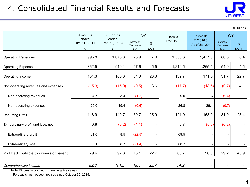

¥Billions

|                                         | 9 months<br>ended | 9 months<br>ended | YoY                 |         | Results     | Forecasts                 | YoY                      |         |
|-----------------------------------------|-------------------|-------------------|---------------------|---------|-------------|---------------------------|--------------------------|---------|
|                                         | Dec 31, 2014      | Dec 31, 2015      | Increase/           | %       | FY2015.3    | FY2016.3<br>As of Jan 29* | Increase/                | %       |
|                                         | A                 | B                 | (Decrease)<br>$B-A$ | $B/A-1$ | $\mathbf C$ | D                         | (Decrease)<br>$D-C$      | $D/C-1$ |
| <b>Operating Revenues</b>               | 996.8             | 1,075.8           | 78.9                | 7.9     | 1,350.3     | 1,437.0                   | 86.6                     | 6.4     |
| <b>Operating Expenses</b>               | 862.5             | 910.1             | 47.6                | 5.5     | 1,210.5     | 1,265.5                   | 54.9                     | 4.5     |
| <b>Operating Income</b>                 | 134.3             | 165.6             | 31.3                | 23.3    | 139.7       | 171.5                     | 31.7                     | 22.7    |
| Non-operating revenues and expenses     | (15.3)            | (15.9)            | (0.5)               | 3.6     | (17.7)      | (18.5)                    | (0.7)                    | 4.1     |
| Non-operating revenues                  | 4.7               | 3.4               | (1.2)               |         | 9.0         | 7.6                       | (1.4)                    |         |
| Non-operating expenses                  | 20.0              | 19.4              | (0.6)               |         | 26.8        | 26.1                      | (0.7)                    |         |
| <b>Recurring Profit</b>                 | 118.9             | 149.7             | 30.7                | 25.9    | 121.9       | 153.0                     | 31.0                     | 25.4    |
| Extraordinary profit and loss, net      | 0.8               | (0.2)             | (1.1)               |         | 0.7         | (5.5)                     | (6.2)                    |         |
| Extraordinary profit                    | 31.0              | 8.5               | (22.5)              |         | 69.5        |                           |                          |         |
| Extraordinary loss                      | 30.1              | 8.7               | (21.4)              |         | 68.7        |                           |                          |         |
| Profit attributable to owners of parent | 79.6              | 97.8              | 18.1                | 22.7    | 66.7        | 96.0                      | 29.2                     | 43.9    |
| Comprehensive Income                    | 82.0              | 101.5             | 19.4                | 23.7    | 74.2        |                           | $\overline{\phantom{a}}$ |         |

Note: Figures in bracket ( ) are negative values.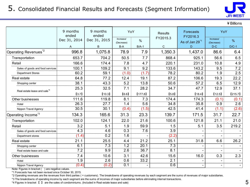

¥Billions

|                                          | 9 months<br>ended |                  | YoY                     |               | <b>Results</b>   | Forecasts<br>FY2016.3      | YoY                      |         |
|------------------------------------------|-------------------|------------------|-------------------------|---------------|------------------|----------------------------|--------------------------|---------|
|                                          | Dec 31, 2014      | Dec 31, 2015     | Increase/<br>(Decrease) | $\frac{0}{0}$ | FY2015.3         | As of Jan 29 <sup>*1</sup> | Increase/<br>(Decrease)  | $\%$    |
|                                          | A                 | B                | B-A                     | $B/A-1$       | $\mathsf C$      | D                          | $D-C$                    | $D/C-1$ |
| Operating Revenues <sup>*2</sup>         | 996.8             | 1,075.8          | 78.9                    | 7.9           | 1,350.3          | 1,437.0                    | 86.6                     | 6.4     |
| Transportation                           | 653.7             | 704.2            | 50.5                    | 7.7           | 868.4            | 925.1                      | 56.6                     | 6.5     |
| Retail                                   | 166.6             | 174.4            | 7.8                     | 4.7           | 220.1            | 231.0                      | 10.8                     | 4.9     |
| Sales of goods and food services         | 100.1             | 109.2            | 9.1                     | 9.2           | 133.6            | 143.2                      | 9.5                      | 7.2     |
| <b>Department Stores</b>                 | 60.2              | 59.1             | (1.0)                   | (1.7)         | 78.2             | 80.2                       | 1.9                      | 2.5     |
| Real estate                              | 64.8              | 77.2             | 12.4                    | 19.1          | 87.2             | 106.6                      | 19.3                     | 22.2    |
| Shopping center                          | 38.1              | 43.3             | 5.2                     | 13.8          | 50.6             | 57.2                       | 6.5                      | 12.9    |
| Real estate lease and sale <sup>*4</sup> | 25.3              | 32.5             | 7.1                     | 28.2          | 34.7             | 47.7                       | 12.9                     | 37.1    |
|                                          | $[3.7]$           | [10.3]           | [6.6]                   | [177.8]       | [5.8]            | [18.4]                     | [12.5]                   | [215.7] |
| Other businesses                         | 111.6             | 119.8            | 8.1                     | 7.3           | 174.4            | 174.3                      | (0.1)                    | (0.1)   |
| Hotel                                    | 26.3              | 27.7             | 1.4                     | 5.6           | 34.8             | 35.8                       | 0.9                      | 2.6     |
| Nippon Travel Agency                     | 30.5              | 30.1             | (0.4)                   | (1.5)         | 42.5             | 41.4                       | (1.1)                    | (2.6)   |
| Operating Income <sup>*3</sup>           | 134.3             | 165.6            | 31.3                    | 23.3          | 139.7            | 171.5                      | 31.7                     | 22.7    |
| Transportation                           | 102.0             | 124.1            | 22.0                    | 21.6          | 100.6            | 121.8                      | 21.1                     | 21.0    |
| Retail                                   | 3.2               | 5.1              | 1.9                     | 59.9          | 1.5              | 5.1                        | 3.5                      | 219.2   |
| Sales of goods and food services         | 4.3               | 4.6              | 0.3                     | 7.6           | 3.9              |                            |                          |         |
| Department stores                        | (1.4)             | 0.2              | 1.6                     |               | (2.2)            |                            |                          |         |
| Real estate                              | 21.1              | 25.5             | 4.4                     | 21.2          | 25.1             | 31.8                       | 6.6                      | 26.2    |
| Shopping center                          | 6.1               | 7.3              | 1.2                     | 20.1          | 7.3              |                            | $\blacksquare$           |         |
| Real estate lease and sale               | 7.2               | 9.9              | 2.6                     | 36.7          | 8.1              |                            |                          |         |
| Other businesses                         | 7.4               | 10.6             | 3.1                     | 42.6          | 15.6             | 16.0                       | 0.3                      | 2.3     |
| Hotel                                    | $\overline{1.9}$  | $\overline{2.6}$ | 0.6                     | 33.2          | $\overline{2.1}$ |                            |                          |         |
| Nippon Travel Agency                     | (0.4)             | (0.2)            | 0.1                     |               | 0.6              |                            | $\overline{\phantom{a}}$ |         |

Note: Figures in bracket ( ) are negative values.

\*1 Forecasts has not been revised since October 30, 2015.

\*2 Operating revenues are the revenues from third parties ( = customers). The breakdowns of operating revenues by each segment are the sums of revenues of major subsidiaries.

\*3 The breakdowns of operating income by each segment are the sums of incomes of major subsidiaries before eliminating internal transactions.

\*4 Figures in bracket 【 】 are the sales of condominiums. (Included in Real estate lease and sale)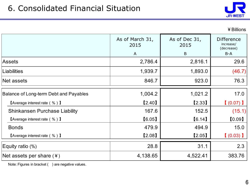

| ¥ Billions |  |
|------------|--|
|------------|--|

|                                        | As of March 31,<br>2015<br>$\overline{A}$ | As of Dec 31,<br>2015<br>B | <b>Difference</b><br>increase/<br>(decrease)<br>$B-A$ |
|----------------------------------------|-------------------------------------------|----------------------------|-------------------------------------------------------|
| Assets                                 | 2,786.4                                   | 2,816.1                    | 29.6                                                  |
| Liabilities                            | 1,939.7                                   | 1,893.0                    | (46.7)                                                |
| Net assets                             | 846.7                                     | 923.0                      | 76.3                                                  |
| Balance of Long-term Debt and Payables | 1,004.2                                   | 1,021.2                    | 17.0                                                  |
| <b>[Average interest rate (%)</b> ]    | [2.40]                                    | [2.33]                     | $(0.07)$ )                                            |
| Shinkansen Purchase Liability          | 167.6                                     | 152.5                      | (15.1)                                                |
| <b>[Average interest rate (%)</b> ]    | [6.05]                                    | [6.14]                     | [0.09]                                                |
| <b>Bonds</b>                           | 479.9                                     | 494.9                      | 15.0                                                  |
| <b>[Average interest rate (%)]</b>     | [2.08]                                    | [2.05]                     | $(0.03)$ ]                                            |
| Equity ratio (%)                       | 28.8                                      | 31.1                       | 2.3                                                   |
| Net assets per share $(*)$             | 4,138.65                                  | 4,522.41                   | 383.76                                                |

Note: Figures in bracket ( ) are negative values.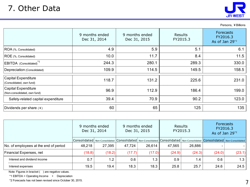

|                                                     |                                |                                |                     | Persons, ¥ Billions                                        |
|-----------------------------------------------------|--------------------------------|--------------------------------|---------------------|------------------------------------------------------------|
|                                                     | 9 months ended<br>Dec 31, 2014 | 9 months ended<br>Dec 31, 2015 | Results<br>FY2015.3 | <b>Forecasts</b><br>FY2016.3<br>As of Jan 29 <sup>*2</sup> |
| ROA (%, Consolidated)                               | 4.9                            | 5.9                            | 5.1                 | 6.1                                                        |
| ROE (%, Consolidated)                               | 10.0                           | 11.7                           | 8.4                 | 11.5                                                       |
| EBITDA (Consolidated) <sup>*1</sup>                 | 244.3                          | 280.1                          | 289.3               | 330.0                                                      |
| Depreciation (Consolidated)                         | 109.9                          | 114.5                          | 149.5               | 158.5                                                      |
| Capital Expenditure<br>(Consolidated, own fund)     | 118.7                          | 131.2                          | 225.6               | 231.0                                                      |
| Capital Expenditure<br>(Non-consolidated, own fund) | 96.9                           | 112.9                          | 186.4               | 199.0                                                      |
| Safety-related capital expenditure                  | 39.4                           | 70.9                           | 90.2                | 123.0                                                      |
| Dividends per share (¥)                             | 60                             | 65                             | 125                 | 135                                                        |
|                                                     |                                |                                |                     |                                                            |

|                                       | 9 months ended<br>Dec 31, 2014 |        |        | 9 months ended<br>Dec 31, 2015 | Results | FY2015.3 | <b>Forecasts</b><br>FY2016.3<br>As of Jan $29^{2}$                                                                      |        |
|---------------------------------------|--------------------------------|--------|--------|--------------------------------|---------|----------|-------------------------------------------------------------------------------------------------------------------------|--------|
|                                       |                                |        |        |                                |         |          | Consolidated Non-Consolidated Consolidated Non-Consolidated Consolidated Non-Consolidated Consolidated Non-Consolidated |        |
| No. of employees at the end of period | 48,218                         | 27,395 | 47,724 | 26,614                         | 47,565  | 26,886   |                                                                                                                         |        |
| Financial Expenses, net               | (18.8)                         | (18.2) | (17.7) | (17.0)                         | (24.9)  | (24.3)   | (24.0)                                                                                                                  | (23.1) |
| Interest and dividend income          | 0.7                            | 1.2    | 0.6    | 1.3                            | 0.9     | 1.4      | 0.6                                                                                                                     | 1.3    |
| Interest expenses                     | 19.5                           | 19.4   | 18.3   | 18.3                           | 25.8    | 25.7     | 24.6                                                                                                                    | 24.5   |

Note: Figures in bracket ( ) are negative values.

\*1 EBITDA = Operating Income + Depreciation